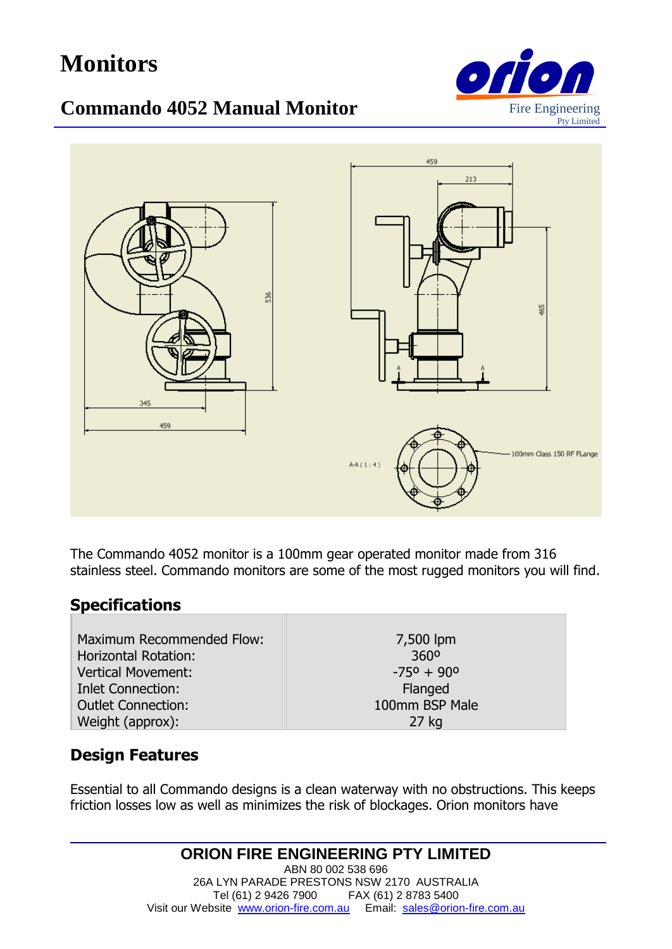# **Monitors**

## **Commando 4052 Manual Monitor**





stainless steel. Commando monitors are some of the most rugged monitors you will find. The Commando 4052 monitor is a 100mm gear operated monitor made from 316

#### **Specifications**

| Maximum Recommended Flow:   | 7,500 lpm                  |
|-----------------------------|----------------------------|
| <b>Horizontal Rotation:</b> | 360 <sup>o</sup>           |
| <b>Vertical Movement:</b>   | $-75^{\circ} + 90^{\circ}$ |
| <b>Inlet Connection:</b>    | Flanged                    |
| <b>Outlet Connection:</b>   | 100mm BSP Male             |
| Weight (approx):            | $27$ kg                    |

#### **Design Features**

Essential to all Commando designs is a clean waterway with no obstructions. This keeps friction losses low as well as minimizes the risk of blockages. Orion monitors have

> **ORION FIRE ENGINEERING PTY LIMITED** ABN 80 002 538 696 26A LYN PARADE PRESTONS NSW 2170 AUSTRALIA Tel (61) 2 9426 7900 FAX (61) 2 8783 5400 Visit our Website [www.orion-fire.com.au](http://www.orion-fire.com.au/) Email: [sales@orion-fire.com.au](mailto:sales@orion-fire.com.au)